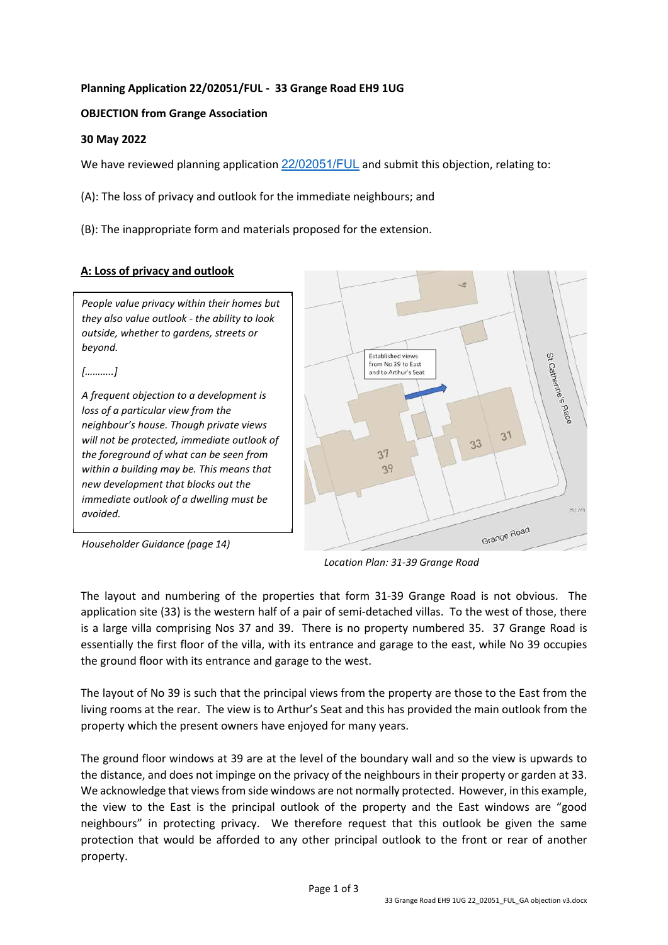## **Planning Application 22/02051/FUL - 33 Grange Road EH9 1UG**

## **OBJECTION from Grange Association**

#### **30 May 2022**

We have reviewed planning application [22/02051/FUL](https://citydev-portal.edinburgh.gov.uk/idoxpa-web/applicationDetails.do?activeTab=summary&keyVal=RAC0IOEWIXZ00) and submit this objection, relating to:

(A): The loss of privacy and outlook for the immediate neighbours; and

(B): The inappropriate form and materials proposed for the extension.

# **A: Loss of privacy and outlook**

*People value privacy within their homes but they also value outlook - the ability to look outside, whether to gardens, streets or beyond.* 

*[………..]* 

*A frequent objection to a development is loss of a particular view from the neighbour's house. Though private views will not be protected, immediate outlook of the foreground of what can be seen from within a building may be. This means that new development that blocks out the immediate outlook of a dwelling must be avoided.* 



*Householder Guidance (page 14)* 

*Location Plan: 31-39 Grange Road* 

The layout and numbering of the properties that form 31-39 Grange Road is not obvious. The application site (33) is the western half of a pair of semi-detached villas. To the west of those, there is a large villa comprising Nos 37 and 39. There is no property numbered 35. 37 Grange Road is essentially the first floor of the villa, with its entrance and garage to the east, while No 39 occupies the ground floor with its entrance and garage to the west.

The layout of No 39 is such that the principal views from the property are those to the East from the living rooms at the rear. The view is to Arthur's Seat and this has provided the main outlook from the property which the present owners have enjoyed for many years.

The ground floor windows at 39 are at the level of the boundary wall and so the view is upwards to the distance, and does not impinge on the privacy of the neighbours in their property or garden at 33. We acknowledge that views from side windows are not normally protected. However, in this example, the view to the East is the principal outlook of the property and the East windows are "good neighbours" in protecting privacy. We therefore request that this outlook be given the same protection that would be afforded to any other principal outlook to the front or rear of another property.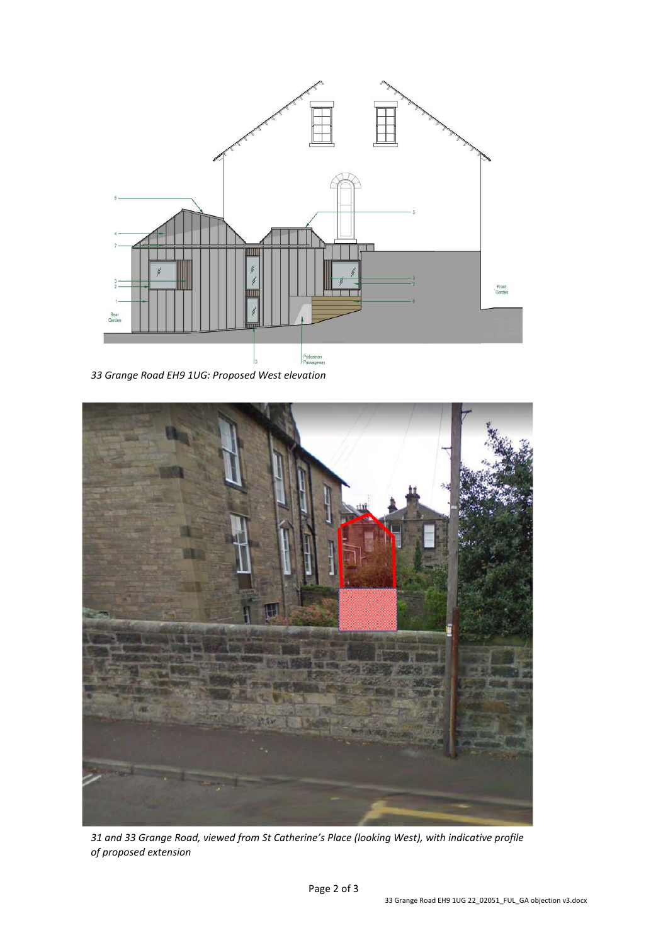

*33 Grange Road EH9 1UG: Proposed West elevation*



*31 and 33 Grange Road, viewed from St Catherine's Place (looking West), with indicative profile of proposed extension*